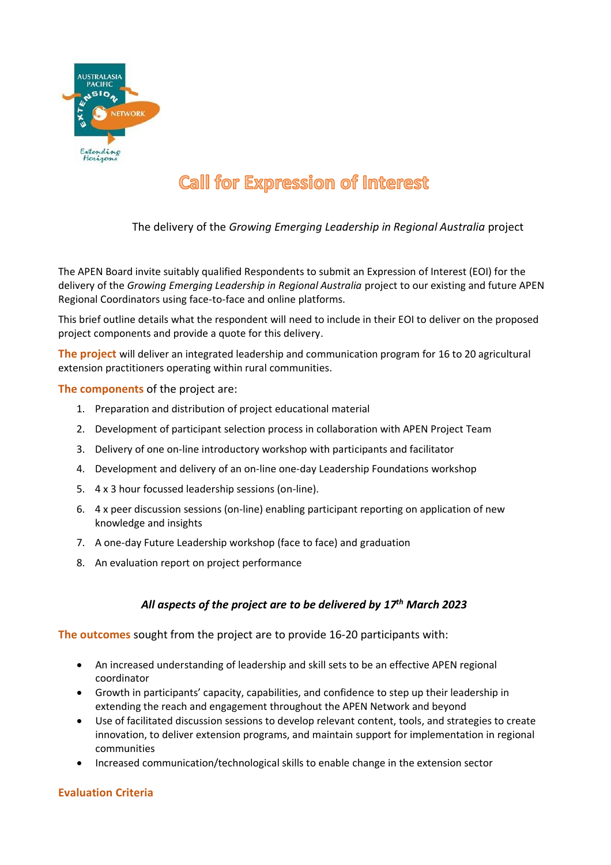

# **Call for Expression of Interest**

The delivery of the *Growing Emerging Leadership in Regional Australia* project

The APEN Board invite suitably qualified Respondents to submit an Expression of Interest (EOI) for the delivery of the *Growing Emerging Leadership in Regional Australia* project to our existing and future APEN Regional Coordinators using face-to-face and online platforms.

This brief outline details what the respondent will need to include in their EOI to deliver on the proposed project components and provide a quote for this delivery.

**The project** will deliver an integrated leadership and communication program for 16 to 20 agricultural extension practitioners operating within rural communities.

**The components** of the project are:

- 1. Preparation and distribution of project educational material
- 2. Development of participant selection process in collaboration with APEN Project Team
- 3. Delivery of one on-line introductory workshop with participants and facilitator
- 4. Development and delivery of an on-line one-day Leadership Foundations workshop
- 5. 4 x 3 hour focussed leadership sessions (on-line).
- 6. 4 x peer discussion sessions (on-line) enabling participant reporting on application of new knowledge and insights
- 7. A one-day Future Leadership workshop (face to face) and graduation
- 8. An evaluation report on project performance

# *All aspects of the project are to be delivered by 17 th March 2023*

**The outcomes** sought from the project are to provide 16-20 participants with:

- An increased understanding of leadership and skill sets to be an effective APEN regional coordinator
- Growth in participants' capacity, capabilities, and confidence to step up their leadership in extending the reach and engagement throughout the APEN Network and beyond
- Use of facilitated discussion sessions to develop relevant content, tools, and strategies to create innovation, to deliver extension programs, and maintain support for implementation in regional communities
- Increased communication/technological skills to enable change in the extension sector

### **Evaluation Criteria**